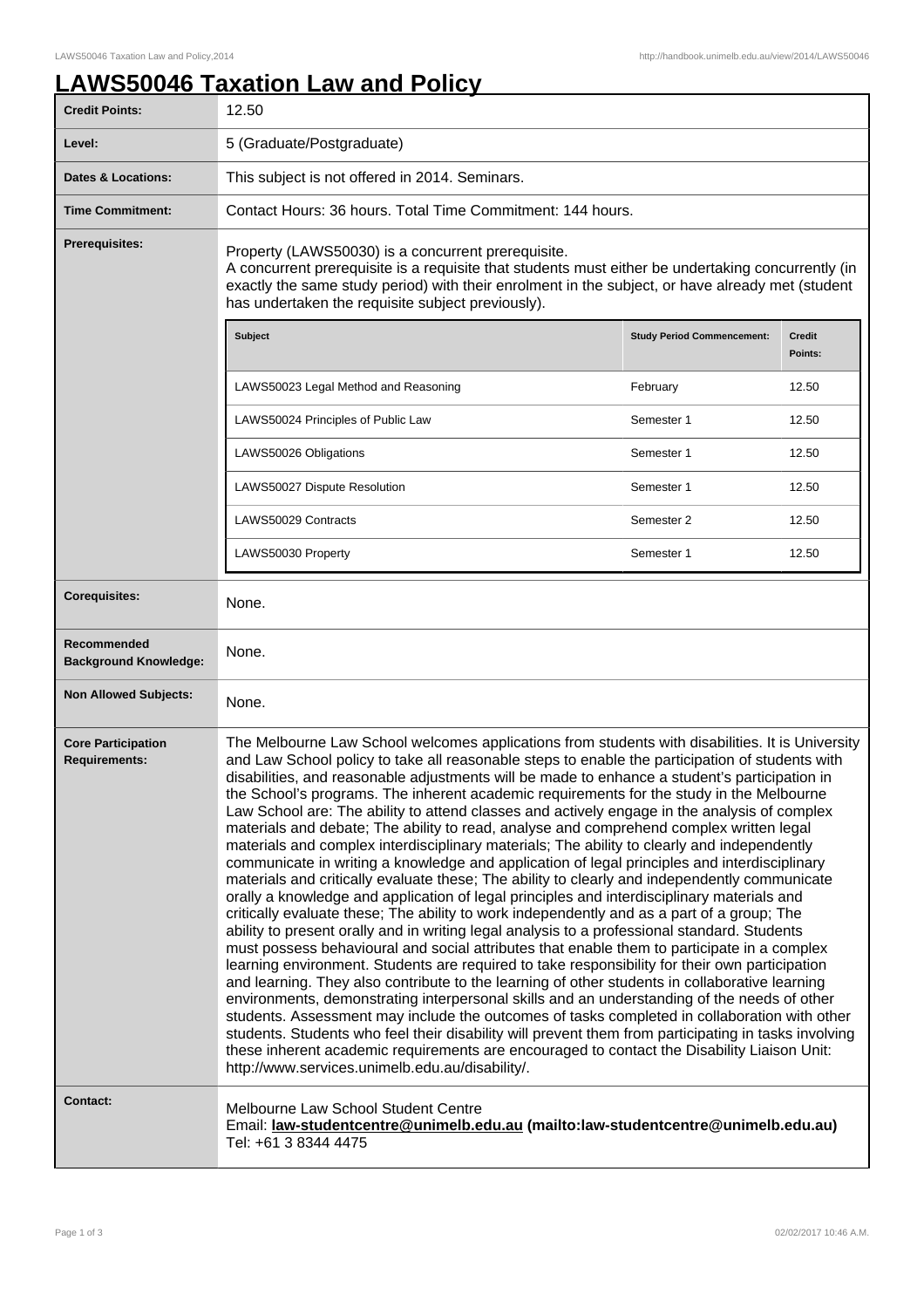## **LAWS50046 Taxation Law and Policy**

| <b>Credit Points:</b>                             | 12.50                                                                                                                                                                                                                                                                                                                                                                                                                                                                                                                                                                                                                                                                                                                                                                                                                                                                                                                                                                                                                                                                                                                                                                                                                                                                                                                                                                                                                                                                                                                                                                                                                                                                                                                                                                                                                                                                                                                                               |                                   |                          |
|---------------------------------------------------|-----------------------------------------------------------------------------------------------------------------------------------------------------------------------------------------------------------------------------------------------------------------------------------------------------------------------------------------------------------------------------------------------------------------------------------------------------------------------------------------------------------------------------------------------------------------------------------------------------------------------------------------------------------------------------------------------------------------------------------------------------------------------------------------------------------------------------------------------------------------------------------------------------------------------------------------------------------------------------------------------------------------------------------------------------------------------------------------------------------------------------------------------------------------------------------------------------------------------------------------------------------------------------------------------------------------------------------------------------------------------------------------------------------------------------------------------------------------------------------------------------------------------------------------------------------------------------------------------------------------------------------------------------------------------------------------------------------------------------------------------------------------------------------------------------------------------------------------------------------------------------------------------------------------------------------------------------|-----------------------------------|--------------------------|
| Level:                                            | 5 (Graduate/Postgraduate)                                                                                                                                                                                                                                                                                                                                                                                                                                                                                                                                                                                                                                                                                                                                                                                                                                                                                                                                                                                                                                                                                                                                                                                                                                                                                                                                                                                                                                                                                                                                                                                                                                                                                                                                                                                                                                                                                                                           |                                   |                          |
| Dates & Locations:                                | This subject is not offered in 2014. Seminars.                                                                                                                                                                                                                                                                                                                                                                                                                                                                                                                                                                                                                                                                                                                                                                                                                                                                                                                                                                                                                                                                                                                                                                                                                                                                                                                                                                                                                                                                                                                                                                                                                                                                                                                                                                                                                                                                                                      |                                   |                          |
| <b>Time Commitment:</b>                           | Contact Hours: 36 hours. Total Time Commitment: 144 hours.                                                                                                                                                                                                                                                                                                                                                                                                                                                                                                                                                                                                                                                                                                                                                                                                                                                                                                                                                                                                                                                                                                                                                                                                                                                                                                                                                                                                                                                                                                                                                                                                                                                                                                                                                                                                                                                                                          |                                   |                          |
| <b>Prerequisites:</b>                             | Property (LAWS50030) is a concurrent prerequisite.<br>A concurrent prerequisite is a requisite that students must either be undertaking concurrently (in<br>exactly the same study period) with their enrolment in the subject, or have already met (student<br>has undertaken the requisite subject previously).                                                                                                                                                                                                                                                                                                                                                                                                                                                                                                                                                                                                                                                                                                                                                                                                                                                                                                                                                                                                                                                                                                                                                                                                                                                                                                                                                                                                                                                                                                                                                                                                                                   |                                   |                          |
|                                                   | Subject                                                                                                                                                                                                                                                                                                                                                                                                                                                                                                                                                                                                                                                                                                                                                                                                                                                                                                                                                                                                                                                                                                                                                                                                                                                                                                                                                                                                                                                                                                                                                                                                                                                                                                                                                                                                                                                                                                                                             | <b>Study Period Commencement:</b> | <b>Credit</b><br>Points: |
|                                                   | LAWS50023 Legal Method and Reasoning                                                                                                                                                                                                                                                                                                                                                                                                                                                                                                                                                                                                                                                                                                                                                                                                                                                                                                                                                                                                                                                                                                                                                                                                                                                                                                                                                                                                                                                                                                                                                                                                                                                                                                                                                                                                                                                                                                                | February                          | 12.50                    |
|                                                   | LAWS50024 Principles of Public Law                                                                                                                                                                                                                                                                                                                                                                                                                                                                                                                                                                                                                                                                                                                                                                                                                                                                                                                                                                                                                                                                                                                                                                                                                                                                                                                                                                                                                                                                                                                                                                                                                                                                                                                                                                                                                                                                                                                  | Semester 1                        | 12.50                    |
|                                                   | LAWS50026 Obligations                                                                                                                                                                                                                                                                                                                                                                                                                                                                                                                                                                                                                                                                                                                                                                                                                                                                                                                                                                                                                                                                                                                                                                                                                                                                                                                                                                                                                                                                                                                                                                                                                                                                                                                                                                                                                                                                                                                               | Semester 1                        | 12.50                    |
|                                                   | LAWS50027 Dispute Resolution                                                                                                                                                                                                                                                                                                                                                                                                                                                                                                                                                                                                                                                                                                                                                                                                                                                                                                                                                                                                                                                                                                                                                                                                                                                                                                                                                                                                                                                                                                                                                                                                                                                                                                                                                                                                                                                                                                                        | Semester 1                        | 12.50                    |
|                                                   | LAWS50029 Contracts                                                                                                                                                                                                                                                                                                                                                                                                                                                                                                                                                                                                                                                                                                                                                                                                                                                                                                                                                                                                                                                                                                                                                                                                                                                                                                                                                                                                                                                                                                                                                                                                                                                                                                                                                                                                                                                                                                                                 | Semester 2                        | 12.50                    |
|                                                   | LAWS50030 Property                                                                                                                                                                                                                                                                                                                                                                                                                                                                                                                                                                                                                                                                                                                                                                                                                                                                                                                                                                                                                                                                                                                                                                                                                                                                                                                                                                                                                                                                                                                                                                                                                                                                                                                                                                                                                                                                                                                                  | Semester 1                        | 12.50                    |
| <b>Corequisites:</b>                              | None.                                                                                                                                                                                                                                                                                                                                                                                                                                                                                                                                                                                                                                                                                                                                                                                                                                                                                                                                                                                                                                                                                                                                                                                                                                                                                                                                                                                                                                                                                                                                                                                                                                                                                                                                                                                                                                                                                                                                               |                                   |                          |
| Recommended<br><b>Background Knowledge:</b>       | None.                                                                                                                                                                                                                                                                                                                                                                                                                                                                                                                                                                                                                                                                                                                                                                                                                                                                                                                                                                                                                                                                                                                                                                                                                                                                                                                                                                                                                                                                                                                                                                                                                                                                                                                                                                                                                                                                                                                                               |                                   |                          |
| <b>Non Allowed Subjects:</b>                      | None.                                                                                                                                                                                                                                                                                                                                                                                                                                                                                                                                                                                                                                                                                                                                                                                                                                                                                                                                                                                                                                                                                                                                                                                                                                                                                                                                                                                                                                                                                                                                                                                                                                                                                                                                                                                                                                                                                                                                               |                                   |                          |
| <b>Core Participation</b><br><b>Requirements:</b> | The Melbourne Law School welcomes applications from students with disabilities. It is University<br>and Law School policy to take all reasonable steps to enable the participation of students with<br>disabilities, and reasonable adjustments will be made to enhance a student's participation in<br>the School's programs. The inherent academic requirements for the study in the Melbourne<br>Law School are: The ability to attend classes and actively engage in the analysis of complex<br>materials and debate; The ability to read, analyse and comprehend complex written legal<br>materials and complex interdisciplinary materials; The ability to clearly and independently<br>communicate in writing a knowledge and application of legal principles and interdisciplinary<br>materials and critically evaluate these; The ability to clearly and independently communicate<br>orally a knowledge and application of legal principles and interdisciplinary materials and<br>critically evaluate these; The ability to work independently and as a part of a group; The<br>ability to present orally and in writing legal analysis to a professional standard. Students<br>must possess behavioural and social attributes that enable them to participate in a complex<br>learning environment. Students are required to take responsibility for their own participation<br>and learning. They also contribute to the learning of other students in collaborative learning<br>environments, demonstrating interpersonal skills and an understanding of the needs of other<br>students. Assessment may include the outcomes of tasks completed in collaboration with other<br>students. Students who feel their disability will prevent them from participating in tasks involving<br>these inherent academic requirements are encouraged to contact the Disability Liaison Unit:<br>http://www.services.unimelb.edu.au/disability/. |                                   |                          |
| <b>Contact:</b>                                   | Melbourne Law School Student Centre<br>Email: law-studentcentre@unimelb.edu.au (mailto:law-studentcentre@unimelb.edu.au)<br>Tel: +61 3 8344 4475                                                                                                                                                                                                                                                                                                                                                                                                                                                                                                                                                                                                                                                                                                                                                                                                                                                                                                                                                                                                                                                                                                                                                                                                                                                                                                                                                                                                                                                                                                                                                                                                                                                                                                                                                                                                    |                                   |                          |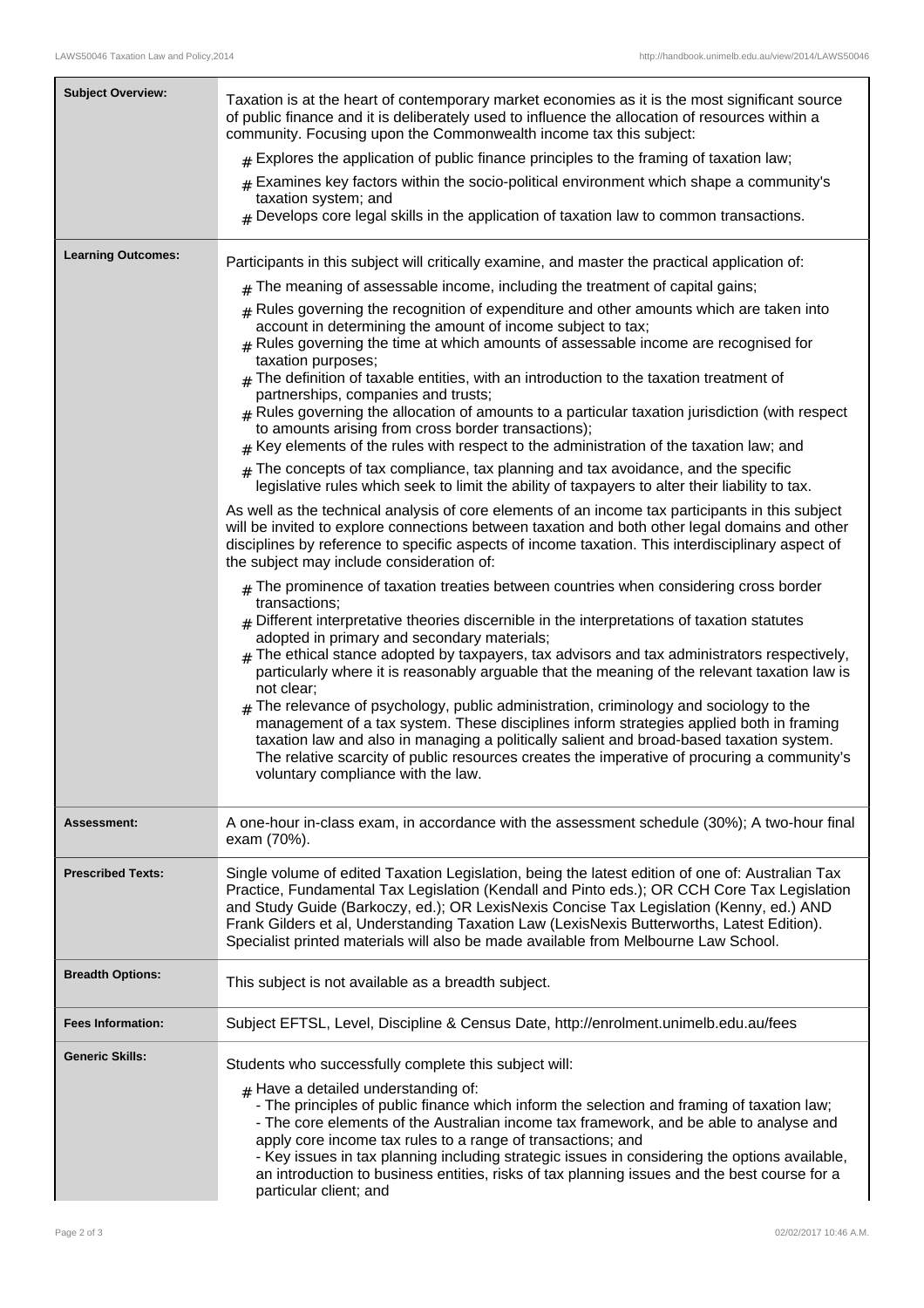| <b>Subject Overview:</b>  | Taxation is at the heart of contemporary market economies as it is the most significant source<br>of public finance and it is deliberately used to influence the allocation of resources within a<br>community. Focusing upon the Commonwealth income tax this subject:<br>$_{\text{\#}}$ Explores the application of public finance principles to the framing of taxation law;<br>$#$ Examines key factors within the socio-political environment which shape a community's<br>taxation system; and<br>$_{\#}$ Develops core legal skills in the application of taxation law to common transactions.                                                                                                                                                                                                                                                                                                                                                                                                                                                                                                                                                                                                                                                                                                                                                                                                                                                                                                                                                                                                                                  |  |
|---------------------------|----------------------------------------------------------------------------------------------------------------------------------------------------------------------------------------------------------------------------------------------------------------------------------------------------------------------------------------------------------------------------------------------------------------------------------------------------------------------------------------------------------------------------------------------------------------------------------------------------------------------------------------------------------------------------------------------------------------------------------------------------------------------------------------------------------------------------------------------------------------------------------------------------------------------------------------------------------------------------------------------------------------------------------------------------------------------------------------------------------------------------------------------------------------------------------------------------------------------------------------------------------------------------------------------------------------------------------------------------------------------------------------------------------------------------------------------------------------------------------------------------------------------------------------------------------------------------------------------------------------------------------------|--|
| <b>Learning Outcomes:</b> | Participants in this subject will critically examine, and master the practical application of:<br>The meaning of assessable income, including the treatment of capital gains;<br>#<br>Rules governing the recognition of expenditure and other amounts which are taken into<br>#<br>account in determining the amount of income subject to tax;<br>$#$ Rules governing the time at which amounts of assessable income are recognised for<br>taxation purposes;<br>$_{\#}$ The definition of taxable entities, with an introduction to the taxation treatment of<br>partnerships, companies and trusts;<br>$#$ Rules governing the allocation of amounts to a particular taxation jurisdiction (with respect<br>to amounts arising from cross border transactions);<br>$#$ Key elements of the rules with respect to the administration of the taxation law; and<br>$#$ The concepts of tax compliance, tax planning and tax avoidance, and the specific<br>legislative rules which seek to limit the ability of taxpayers to alter their liability to tax.<br>As well as the technical analysis of core elements of an income tax participants in this subject<br>will be invited to explore connections between taxation and both other legal domains and other<br>disciplines by reference to specific aspects of income taxation. This interdisciplinary aspect of<br>the subject may include consideration of:<br>$#$ The prominence of taxation treaties between countries when considering cross border<br>transactions;<br>$_{\rm H}$ Different interpretative theories discernible in the interpretations of taxation statutes |  |
|                           | adopted in primary and secondary materials;<br>The ethical stance adopted by taxpayers, tax advisors and tax administrators respectively,<br>#<br>particularly where it is reasonably arguable that the meaning of the relevant taxation law is<br>not clear;<br>$#$ The relevance of psychology, public administration, criminology and sociology to the<br>management of a tax system. These disciplines inform strategies applied both in framing<br>taxation law and also in managing a politically salient and broad-based taxation system.<br>The relative scarcity of public resources creates the imperative of procuring a community's<br>voluntary compliance with the law.                                                                                                                                                                                                                                                                                                                                                                                                                                                                                                                                                                                                                                                                                                                                                                                                                                                                                                                                                  |  |
| Assessment:               | A one-hour in-class exam, in accordance with the assessment schedule (30%); A two-hour final<br>exam (70%).                                                                                                                                                                                                                                                                                                                                                                                                                                                                                                                                                                                                                                                                                                                                                                                                                                                                                                                                                                                                                                                                                                                                                                                                                                                                                                                                                                                                                                                                                                                            |  |
| <b>Prescribed Texts:</b>  | Single volume of edited Taxation Legislation, being the latest edition of one of: Australian Tax<br>Practice, Fundamental Tax Legislation (Kendall and Pinto eds.); OR CCH Core Tax Legislation<br>and Study Guide (Barkoczy, ed.); OR LexisNexis Concise Tax Legislation (Kenny, ed.) AND<br>Frank Gilders et al, Understanding Taxation Law (LexisNexis Butterworths, Latest Edition).<br>Specialist printed materials will also be made available from Melbourne Law School.                                                                                                                                                                                                                                                                                                                                                                                                                                                                                                                                                                                                                                                                                                                                                                                                                                                                                                                                                                                                                                                                                                                                                        |  |
| <b>Breadth Options:</b>   | This subject is not available as a breadth subject.                                                                                                                                                                                                                                                                                                                                                                                                                                                                                                                                                                                                                                                                                                                                                                                                                                                                                                                                                                                                                                                                                                                                                                                                                                                                                                                                                                                                                                                                                                                                                                                    |  |
| <b>Fees Information:</b>  | Subject EFTSL, Level, Discipline & Census Date, http://enrolment.unimelb.edu.au/fees                                                                                                                                                                                                                                                                                                                                                                                                                                                                                                                                                                                                                                                                                                                                                                                                                                                                                                                                                                                                                                                                                                                                                                                                                                                                                                                                                                                                                                                                                                                                                   |  |
| <b>Generic Skills:</b>    | Students who successfully complete this subject will:<br>$#$ Have a detailed understanding of:<br>- The principles of public finance which inform the selection and framing of taxation law;<br>- The core elements of the Australian income tax framework, and be able to analyse and<br>apply core income tax rules to a range of transactions; and<br>- Key issues in tax planning including strategic issues in considering the options available,<br>an introduction to business entities, risks of tax planning issues and the best course for a<br>particular client; and                                                                                                                                                                                                                                                                                                                                                                                                                                                                                                                                                                                                                                                                                                                                                                                                                                                                                                                                                                                                                                                       |  |